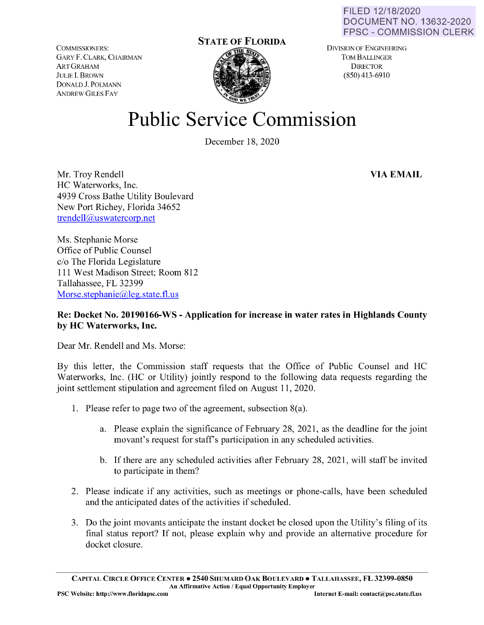FILED 12/18/2020 DOCUMENT NO. 13632-2020 FPSC - COMMISSION CLERK

COMMISSIONERS: GARY F. CLARK, CHAIRMAN ARTGRAHAM J ULIE **l.** BROWN DONALD J. POLMANN ANDREW GILES FAY

## **STATE OF FLORIDA**

DIVISION OF ENGINEERING TOM BALLINGER **DIRECTOR** (850) 413-6910

## **Public Service Commission**

December 18, 2020

Mr. Troy Rendell HC Waterworks, Inc. 4939 Cross Bathe Utility Boulevard New Port Richey, Florida 34652 [trendell@uswatercorp.net](mailto:trendell@uswatercorp.net) 

Ms. Stephanie Morse Office of Public Counsel c/o The Florida Legislature 111 West Madison Street; Room 812 Tallahassee, FL 32399 Morse.stephanie@leg.state.fl.us

## **Re: Docket No. 20190166-WS -Application for increase in water rates in Highlands County by HC Waterworks, Inc.**

Dear Mr. Rendell and Ms. Morse:

By this letter, the Commission staff requests that the Office of Public Counsel and HC Waterworks, Inc. (HC or Utility) jointly respond to the following data requests regarding the joint settlement stipulation and agreement filed on August 11, 2020.

- 1. Please refer to page two of the agreement, subsection 8(a).
	- a. Please explain the significance of February 28, 2021, as the deadline for the joint movant's request for staff's participation in any scheduled activities.
	- b. If there are any scheduled activities after February 28, 2021, will staff be invited to participate in them?
- 2. Please indicate if any activities, such as meetings or phone-calls, have been scheduled and the anticipated dates of the activities if scheduled.
- 3. Do the joint movants anticipate the instant docket be closed upon the Utility's filing of its final status report? If not, please explain why and provide an alternative procedure for docket closure.

**CAPITAL ClRCLE OFFICE CENTER** • **2540 SHUMARD OAK BOULEVARD** • **TALLAHASSEE, FL 32399-0850 An Affirmative Action / Equal Opportunity Employer** 

**VIA EMAIL**